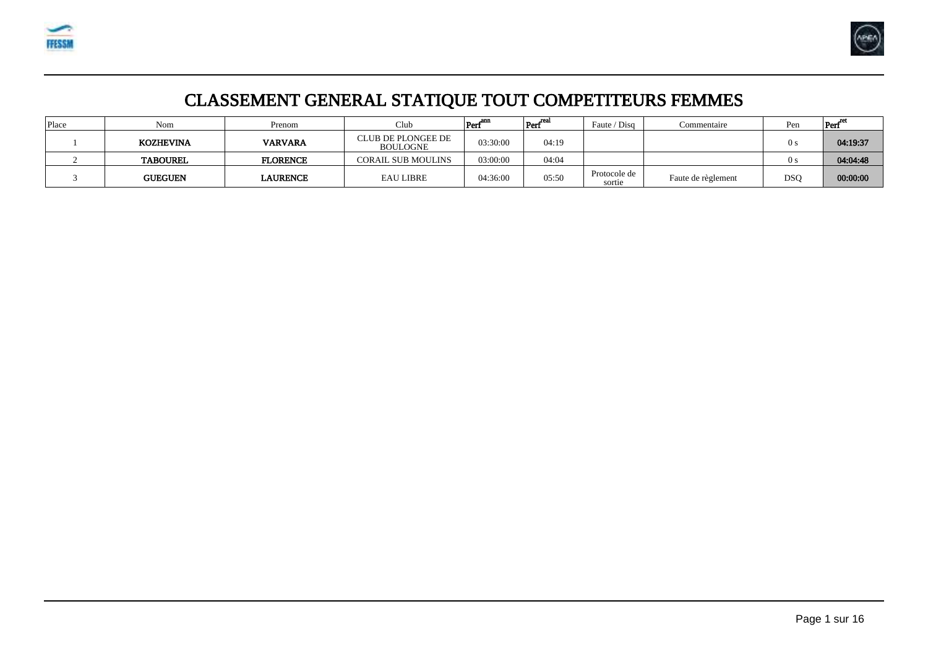



# CLASSEMENT GENERAL STATIQUE TOUT COMPETITEURS FEMMES

| Place | Nom             | Prenom          | Club                                  | $\text{Perf}^{\text{ann}}$ | $\left  \text{Perf}^{\text{real}} \right $ | Faute / Disg           | Commentaire        | Pen        | $\left  \text{Perf}^{\text{re}} \right $ |
|-------|-----------------|-----------------|---------------------------------------|----------------------------|--------------------------------------------|------------------------|--------------------|------------|------------------------------------------|
|       | KOZHEVINA       | <b>VARVARA</b>  | CLUB DE PLONGEE DE<br><b>BOULOGNE</b> | 03:30:00                   | 04:19                                      |                        |                    | 0 s        | 04:19:37                                 |
|       | <b>TABOUREL</b> | <b>FLORENCE</b> | <b>CORAIL SUB MOULINS</b>             | 03:00:00                   | 04:04                                      |                        |                    | 0 s        | 04:04:48                                 |
|       | <b>GUEGUEN</b>  | LAURENCE        | <b>EAU LIBRE</b>                      | 04:36:00                   | 05:50                                      | Protocole de<br>sortie | Faute de règlement | <b>DSO</b> | 00:00:00                                 |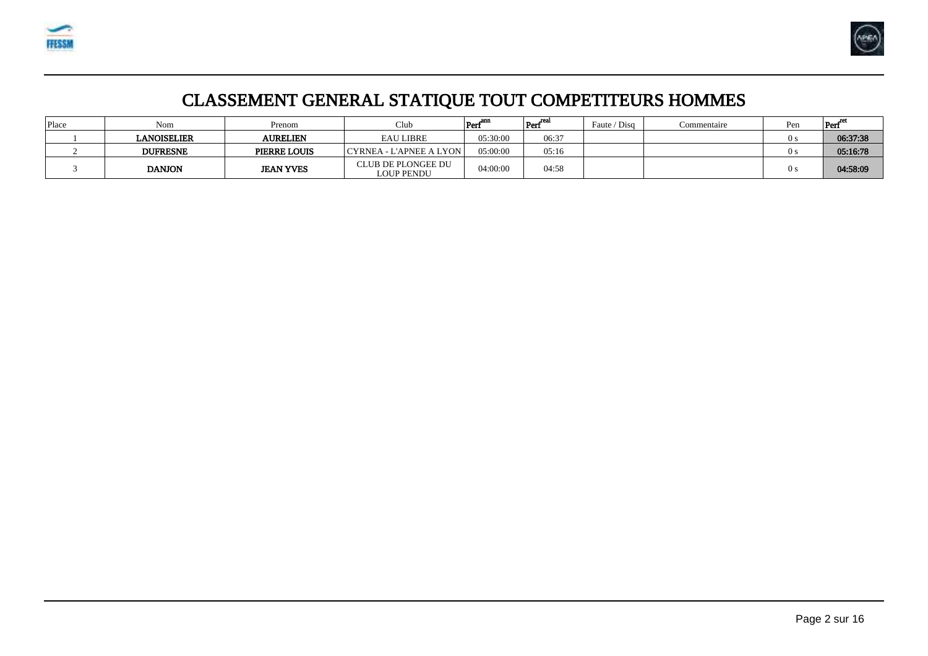



# CLASSEMENT GENERAL STATIQUE TOUT COMPETITEURS HOMMES

| Place | Nom             | Prenom           | $\alpha$ lub                     | $\text{Perf}^{\text{amp}}$ | $ $ Perf $^{\rm real}$ | Faute / Disg | Commentaire | Pen | Perf     |
|-------|-----------------|------------------|----------------------------------|----------------------------|------------------------|--------------|-------------|-----|----------|
|       | LANOISELIER     | <b>AURELIEN</b>  | <b>EAU LIBRE</b>                 | 05:30:00                   | 06:37                  |              |             | 0 s | 06:37:38 |
|       | <b>DUFRESNE</b> | PIERRE LOUIS     | CYRNEA - L'APNEE A LYON          | 05:00:00                   | 05:16                  |              |             | ()  | 05:16:78 |
|       | <b>DANJON</b>   | <b>JEAN YVES</b> | CLUB DE PLONGEE DU<br>LOUP PENDU | 04:00:00                   | 04:58                  |              |             | 0 s | 04:58:09 |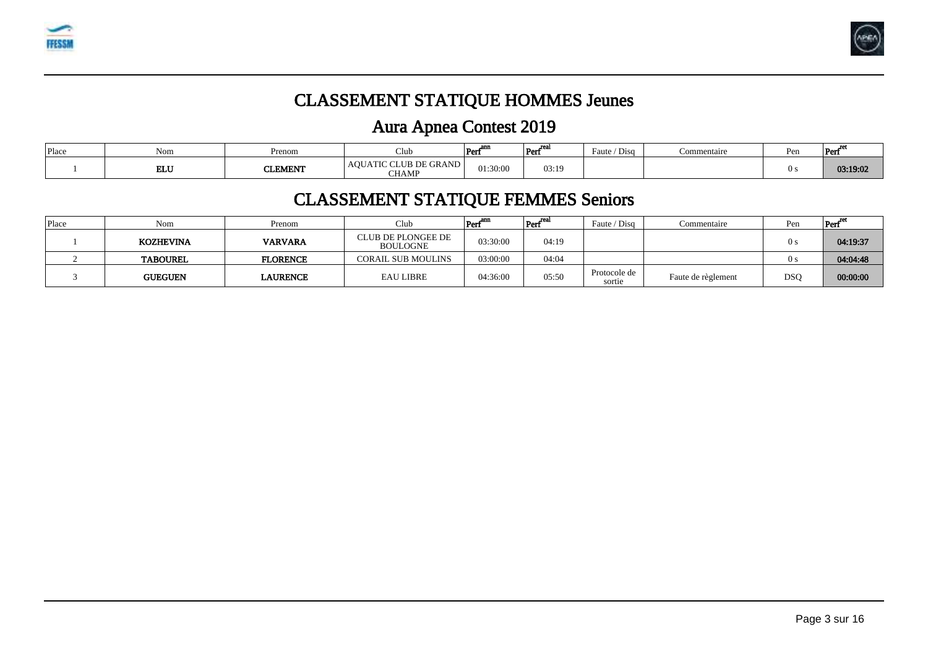



# CLASSEMENT STATIQUE HOMMES Jeunes

# Aura Apnea Contest 2019

| Place | Non.       | Prenom  | Club                                                    | ano<br>Pert | rea<br>Perf | $\sim$<br>Faute<br>Disc | <b>Commentaire</b> | Pen | Perf     |
|-------|------------|---------|---------------------------------------------------------|-------------|-------------|-------------------------|--------------------|-----|----------|
|       | <b>ELU</b> | CLEMENT | CLUB DE GRAND !<br>Aυt<br>$\sim$ $\sim$<br><b>CHAMP</b> | 01:30:00    | 03:19       |                         |                    |     | 03:19:02 |

### CLASSEMENT STATIQUE FEMMES Seniors

| Place | Nom              | Prenom          | $\mathbb{C}$ lub                      | $Perf^{anr}$ | $\rm{Perf}^{\rm{real}}$ | Faute / Disg           | Commentaire        | Pen        | Perf <sup>"</sup> |
|-------|------------------|-----------------|---------------------------------------|--------------|-------------------------|------------------------|--------------------|------------|-------------------|
|       | <b>KOZHEVINA</b> | <b>VARVARA</b>  | CLUB DE PLONGEE DE<br><b>BOULOGNE</b> | 03:30:00     | 04:19                   |                        |                    | 0 s        | 04:19:37          |
|       | <b>TABOUREL</b>  | <b>FLORENCE</b> | <b>CORAIL SUB MOULINS</b>             | 03:00:00     | 04:04                   |                        |                    | () s       | 04:04:48          |
|       | <b>GUEGUEN</b>   | LAURENCE        | <b>EAU LIBRE</b>                      | 04:36:00     | 05:50                   | Protocole de<br>sortie | Faute de règlement | <b>DSC</b> | 00:00:00          |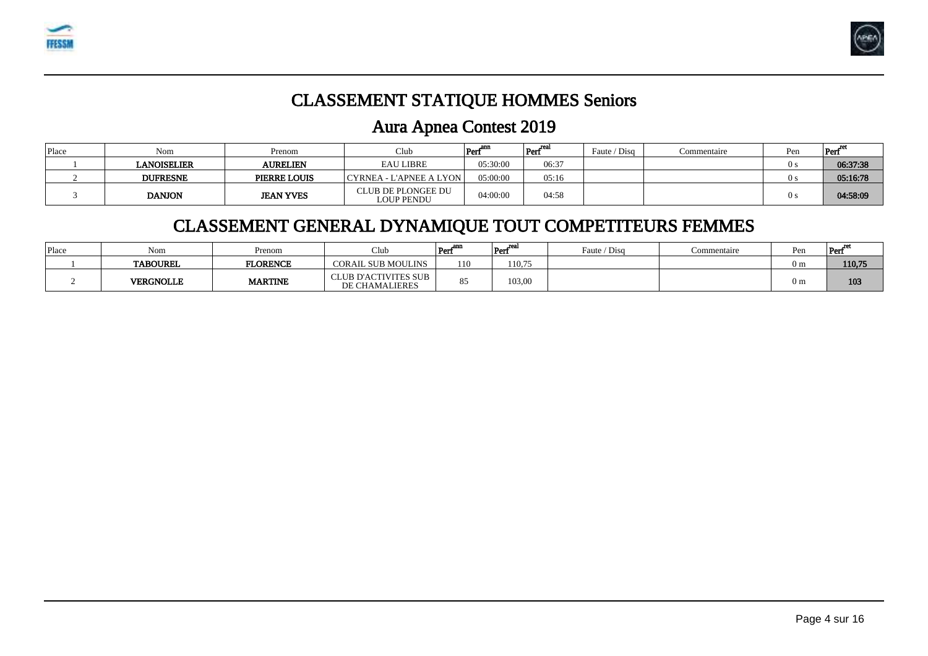



### CLASSEMENT STATIQUE HOMMES Seniors

### Aura Apnea Contest 2019

| Place | Nom             | Prenom           | Club                                    | $Perf^{ann}$ | $ Perf^{real} $ | Faute / Disg | Commentaire | Pen            | Perf     |
|-------|-----------------|------------------|-----------------------------------------|--------------|-----------------|--------------|-------------|----------------|----------|
|       | LANOISELIER     | <b>AURELIEN</b>  | <b>EAU LIBRE</b>                        | 05:30:00     | 06:37           |              |             | $\theta$ s     | 06:37:38 |
|       | <b>DUFRESNE</b> | PIERRE LOUIS     | CYRNEA - L'APNEE A LYON                 | 05:00:00     | 05:16           |              |             | $\theta$       | 05:16:78 |
|       | <b>DANJON</b>   | <b>JEAN YVES</b> | CLUB DE PLONGEE DU<br><b>LOUP PENDU</b> | 04:00:00     | 04:58           |              |             | 0 <sub>s</sub> | 04:58:09 |

### CLASSEMENT GENERAL DYNAMIQUE TOUT COMPETITEURS FEMMES

| Place | Nom              | Prenom          | Club                                          | Perf <sup>ann</sup> | rea<br>Pert | Faute / Disg | Commentaire | Pen            | Perf   |
|-------|------------------|-----------------|-----------------------------------------------|---------------------|-------------|--------------|-------------|----------------|--------|
|       | <b>TABOUREL</b>  | <b>FLORENCE</b> | <b>CORAIL SUB MOULINS</b>                     | 110                 | 110,75      |              |             | 0 <sub>m</sub> | 110,75 |
|       | <b>VERGNOLLE</b> | <b>MARTINE</b>  | CLUB D'ACTIVITES SUB<br><b>DE CHAMALIERES</b> | $Q \leq$<br>ൊ       | 103,00      |              |             | 0 <sub>m</sub> | 103    |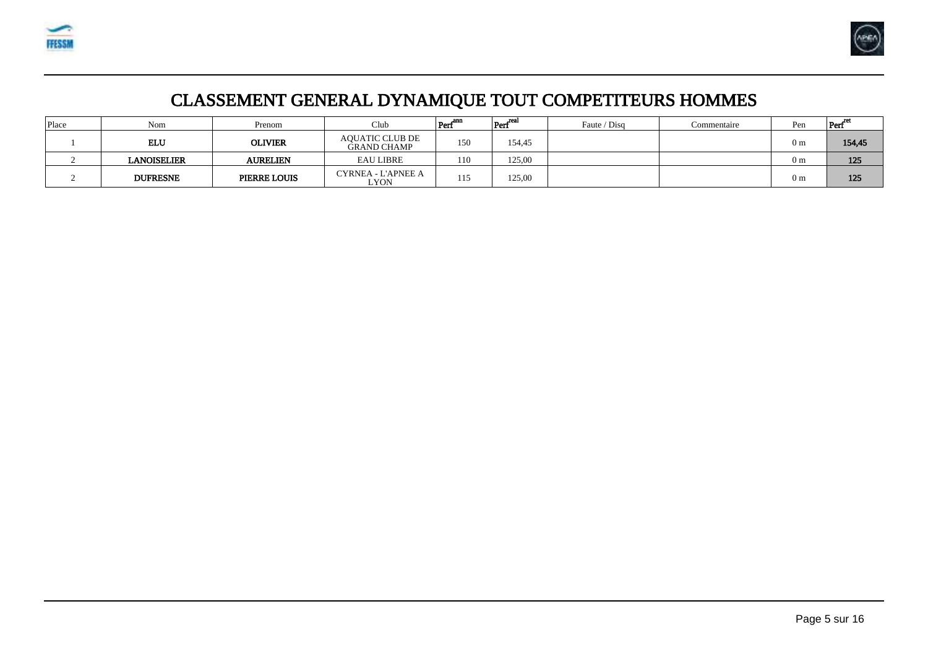



# CLASSEMENT GENERAL DYNAMIQUE TOUT COMPETITEURS HOMMES

| Place | Nom                | Prenom              | Club                                         | $Perf^{ann}$ | $ _{\operatorname{Perf}}^{\operatorname{real}}$ | Faute / Disg | Commentaire | Pen            | Perf   |
|-------|--------------------|---------------------|----------------------------------------------|--------------|-------------------------------------------------|--------------|-------------|----------------|--------|
|       | ELU                | <b>OLIVIER</b>      | <b>AOUATIC CLUB DE</b><br><b>GRAND CHAMP</b> | 150          | 154,45                                          |              |             | 0 <sub>m</sub> | 154,45 |
|       | <b>LANOISELIER</b> | <b>AURELIEN</b>     | <b>EAU LIBRE</b>                             | 110          | 125,00                                          |              |             | 0 <sub>m</sub> | 125    |
|       | <b>DUFRESNE</b>    | <b>PIERRE LOUIS</b> | CYRNEA - L'APNEE A<br>LYON                   | 115          | 125,00                                          |              |             | 0 <sub>m</sub> | 125    |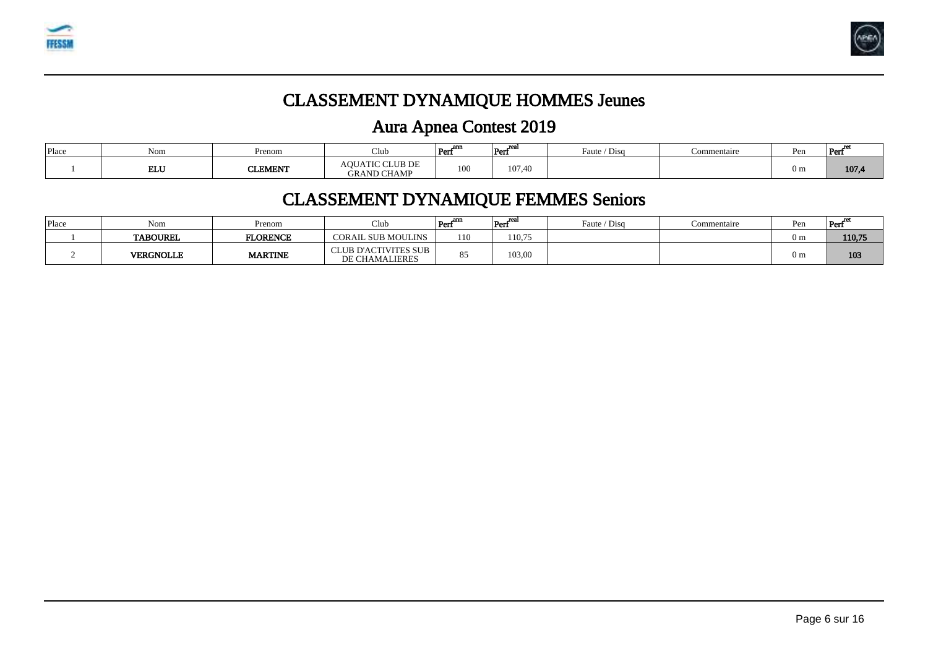



# CLASSEMENT DYNAMIQUE HOMMES Jeunes

# Aura Apnea Contest 2019

| Place | Nom        | Prenom         | ر Lub                                        | oms<br> Per<br>-- | . .<br>Per<br>$-1$ | $\sqrt{2}$<br>Faute /<br>$D1$ sc | <b>⊃ommentaire</b> | Pen            | Per   |
|-------|------------|----------------|----------------------------------------------|-------------------|--------------------|----------------------------------|--------------------|----------------|-------|
|       | <b>ELU</b> | <b>CLEMENT</b> | <b>AOUATIC CLUB DE</b><br><b>GRAND CHAMP</b> | 100               | 107,40<br>$\sim$   |                                  |                    | 0 <sub>m</sub> | 107,4 |

### CLASSEMENT DYNAMIQUE FEMMES Seniors

| Place | Nom              | Prenom          | Club                                            | $Perf^{amp}$ | ---<br>$\sim$ $\sim$<br>Perf | Faute / Disq | <i>c</i> ommentaire | Pen | $Perf^{\circ}$ |
|-------|------------------|-----------------|-------------------------------------------------|--------------|------------------------------|--------------|---------------------|-----|----------------|
|       | <b>TABOUREL</b>  | <b>FLORENCE</b> | <b>CORAIL SUB MOULINS</b>                       | 110          | 110,75                       |              |                     | ) m | 110,75         |
|       | <b>VERGNOLLE</b> | <b>MARTINE</b>  | CLUB D'ACTIVITES SUB 1<br><b>DE CHAMALIERES</b> | O E<br>oJ    | 103,00                       |              |                     | ) m | 103            |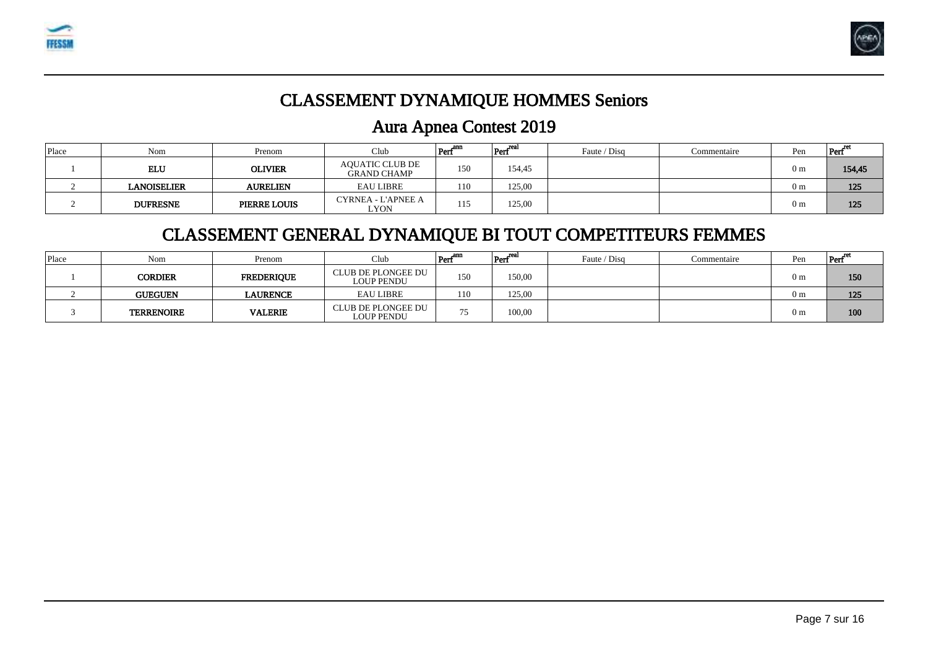



### CLASSEMENT DYNAMIQUE HOMMES Seniors

### Aura Apnea Contest 2019

| Place | Nom             | Prenom              | Club                                         | $\left  \text{Perf}^{\text{ann}} \right $ | Perfreal | Faute / Disg | Commentaire | Pen            | $Perf^{\sim}$ |
|-------|-----------------|---------------------|----------------------------------------------|-------------------------------------------|----------|--------------|-------------|----------------|---------------|
|       | ELU             | <b>OLIVIER</b>      | <b>AQUATIC CLUB DE</b><br><b>GRAND CHAMP</b> | 150                                       | 154,45   |              |             | 0 <sub>m</sub> | 154,45        |
|       | LANOISELIER     | <b>AURELIEN</b>     | <b>EAU LIBRE</b>                             | 110                                       | 125,00   |              |             | 0 <sub>m</sub> | 125           |
|       | <b>DUFRESNE</b> | <b>PIERRE LOUIS</b> | CYRNEA - L'APNEE A<br>LYON                   | 115                                       | 125,00   |              |             | 0 <sub>m</sub> | 125           |

### CLASSEMENT GENERAL DYNAMIQUE BI TOUT COMPETITEURS FEMMES

| Place | Nom               | Prenom            | Club                                           | $Perf^{amp}$ | $ Perf^{\text{real}}$ | Faute / Disg | Commentaire | Pen | $Perf^{\circ}$ |
|-------|-------------------|-------------------|------------------------------------------------|--------------|-----------------------|--------------|-------------|-----|----------------|
|       | <b>CORDIER</b>    | <b>FREDERIQUE</b> | CLUB DE PLONGEE DU<br><b>LOUP PENDU</b>        | 150          | 150,00                |              |             | ) m | 150            |
|       | <b>GUEGUEN</b>    | <b>LAURENCE</b>   | <b>EAU LIBRE</b>                               | 110          | 125,00                |              |             | 0 m | 125            |
|       | <b>TERRENOIRE</b> | <b>VALERIE</b>    | <b>CLUB DE PLONGEE DU</b><br><b>LOUP PENDU</b> | 75<br>ر ر    | 100,00                |              |             | ) m | 100            |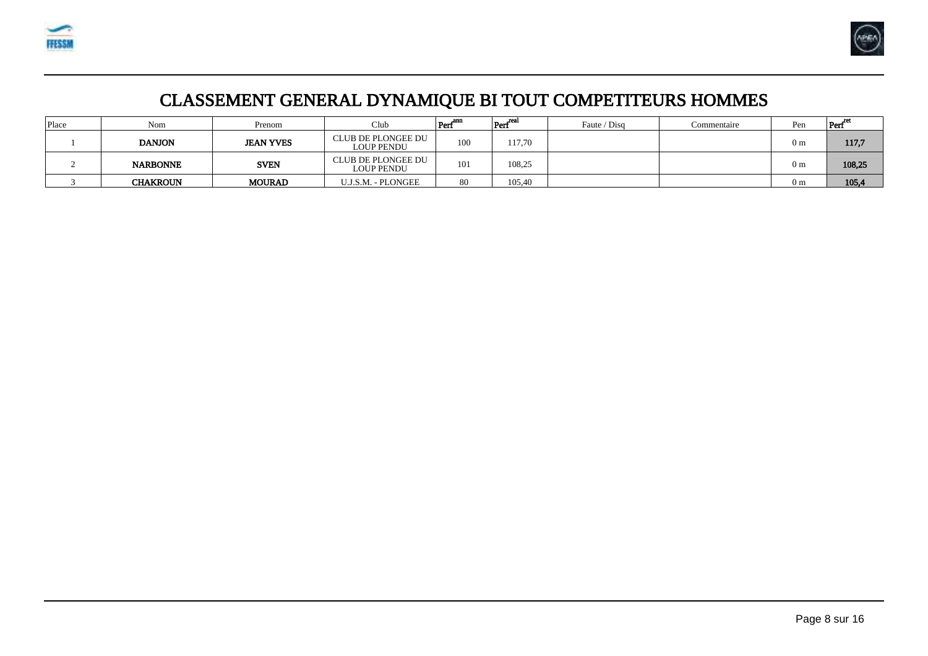



# CLASSEMENT GENERAL DYNAMIQUE BI TOUT COMPETITEURS HOMMES

| Place | Nom             | Prenom           | Club                                           | $\text{Perf}^{\text{ann}}$ | $ $ Perf $^{\text{real}}$ | Faute / Disg | Commentaire | Pen            | Peri   |
|-------|-----------------|------------------|------------------------------------------------|----------------------------|---------------------------|--------------|-------------|----------------|--------|
|       | <b>DANJON</b>   | <b>JEAN YVES</b> | <b>CLUB DE PLONGEE DU</b><br><b>LOUP PENDU</b> | 100                        | 117,70                    |              |             | 0 <sub>m</sub> | 117,7  |
|       | <b>NARBONNE</b> | <b>SVEN</b>      | <b>CLUB DE PLONGEE DU</b><br><b>LOUP PENDU</b> | 101                        | 108,25                    |              |             | 0 <sub>m</sub> | 108,25 |
|       | <b>CHAKROUN</b> | <b>MOURAD</b>    | U.J.S.M. - PLONGEE                             | 80                         | 105,40                    |              |             | 0 <sub>m</sub> | 105,4  |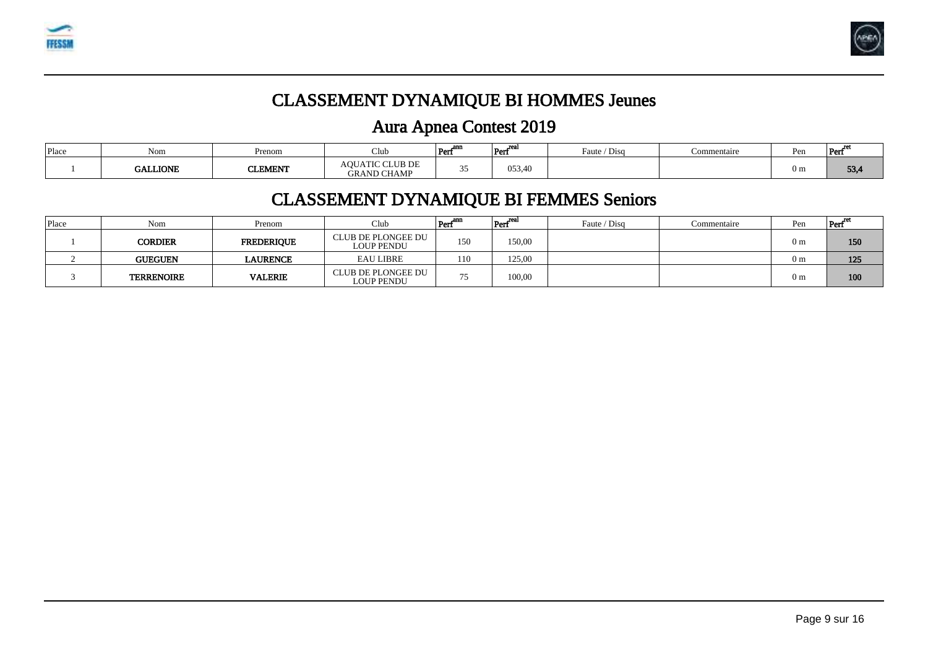



# CLASSEMENT DYNAMIQUE BI HOMMES Jeunes

# Aura Apnea Contest 2019

| Place | Nom             | Prenom         | Club                                  | om<br> Per       | Per    | 'Disq<br>Faute / | Commentaire | Pen            | Perf |
|-------|-----------------|----------------|---------------------------------------|------------------|--------|------------------|-------------|----------------|------|
|       | <b>GALLIONE</b> | <b>CLEMENT</b> | AOUATIC CLUB DE<br><b>GRAND CHAMP</b> | $\sim$ $-$<br>ັບ | 053,40 |                  |             | 0 <sub>m</sub> | 53,4 |

### CLASSEMENT DYNAMIQUE BI FEMMES Seniors

| Place | Nom               | Prenom            | Club                                           | Perf | _rea<br>Perf | Faute / Disg | Commentaire | Pen            | Pert |
|-------|-------------------|-------------------|------------------------------------------------|------|--------------|--------------|-------------|----------------|------|
|       | CORDIER           | <b>FREDERIQUE</b> | CLUB DE PLONGEE DU<br><b>LOUP PENDU</b>        | 150  | 150,00       |              |             | 0 <sub>m</sub> | 150  |
|       | <b>GUEGUEN</b>    | LAURENCE          | <b>EAU LIBRE</b>                               | 110  | 125,00       |              |             | 0 <sub>m</sub> | 125  |
|       | <b>TERRENOIRE</b> | <b>VALERIE</b>    | <b>CLUB DE PLONGEE DU</b><br><b>LOUP PENDU</b> | 75   | 100,00       |              |             | 0 <sub>m</sub> | 100  |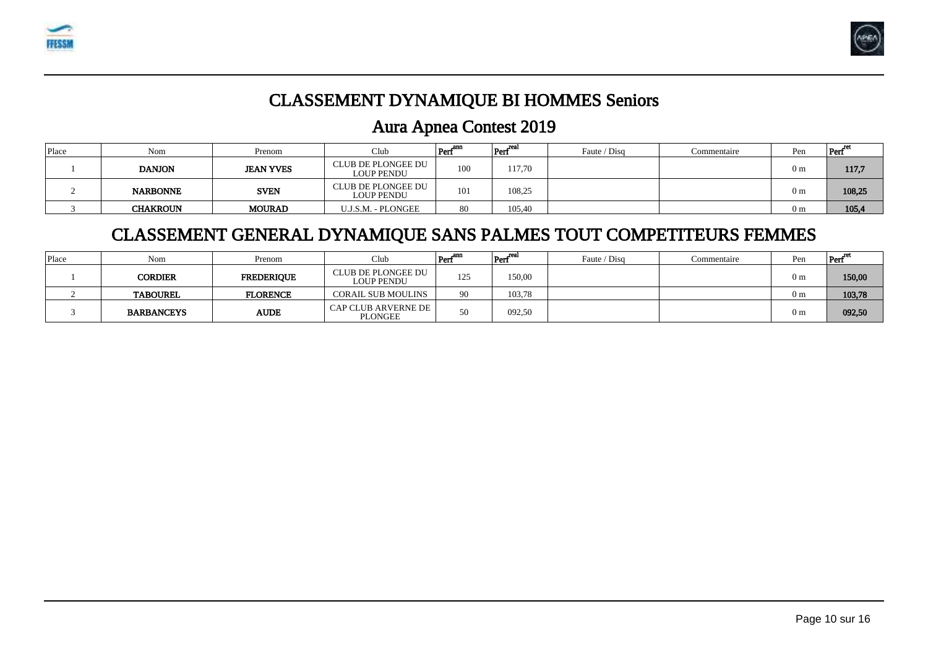



### CLASSEMENT DYNAMIQUE BI HOMMES Seniors

### Aura Apnea Contest 2019

| Place | Nom             | Prenom           | Club                                           | Perf | $ Perf^{\text{real}}$ | Faute / Disg | Commentaire | Pen            | Pert   |
|-------|-----------------|------------------|------------------------------------------------|------|-----------------------|--------------|-------------|----------------|--------|
|       | <b>DANJON</b>   | <b>JEAN YVES</b> | CLUB DE PLONGEE DU<br><b>LOUP PENDU</b>        | 100  | 117,70                |              |             | 0 <sub>m</sub> | 117,7  |
|       | <b>NARBONNE</b> | <b>SVEN</b>      | <b>CLUB DE PLONGEE DU</b><br><b>LOUP PENDU</b> | 101  | 108,25                |              |             | 0 <sub>m</sub> | 108,25 |
|       | <b>CHAKROUN</b> | <b>MOURAD</b>    | U.J.S.M. - PLONGEE                             | 80   | 105,40                |              |             | 0 <sub>m</sub> | 105,4  |

### CLASSEMENT GENERAL DYNAMIQUE SANS PALMES TOUT COMPETITEURS FEMMES

| Place | Nom               | Prenom            | Club                             | $\left \text{Perf}^{\text{ann}}\right $ | $ $ Perf <sup>real</sup> | Faute / Disg | Commentaire | Pen | $\left  \text{Perf}^{\text{ret}} \right $ |
|-------|-------------------|-------------------|----------------------------------|-----------------------------------------|--------------------------|--------------|-------------|-----|-------------------------------------------|
|       | CORDIER           | <b>FREDERIQUE</b> | CLUB DE PLONGEE DU<br>LOUP PENDU | 125                                     | 150,00                   |              |             | 0 m | 150,00                                    |
|       | <b>TABOUREL</b>   | <b>FLORENCE</b>   | <b>CORAIL SUB MOULINS</b>        | 90                                      | 103,78                   |              |             | 0 m | 103,78                                    |
|       | <b>BARBANCEYS</b> | <b>AUDE</b>       | CAP CLUB ARVERNE DE  <br>PLONGEE | 50                                      | 092,50                   |              |             | 0 m | 092,50                                    |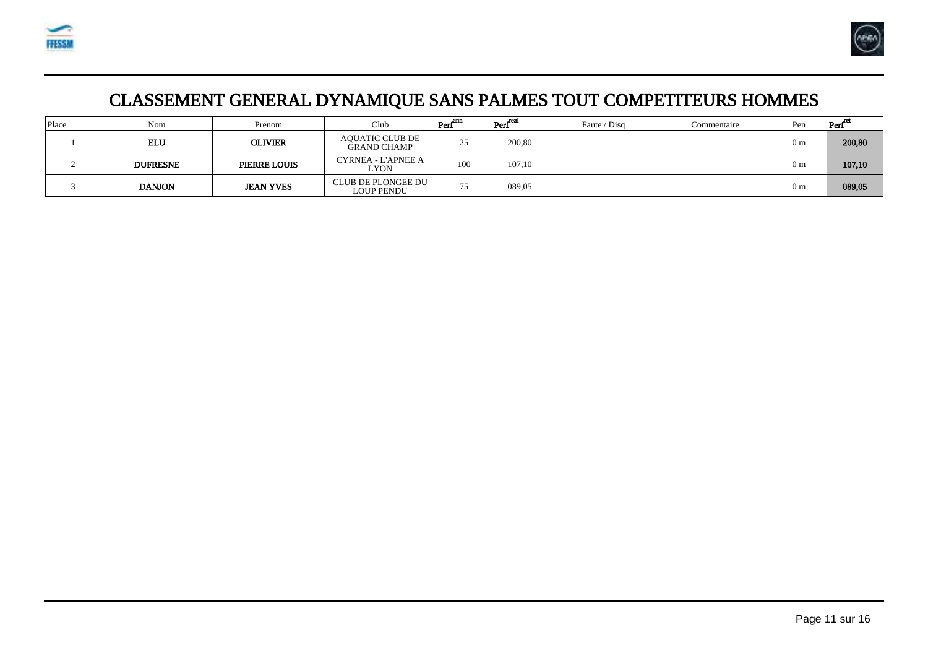



# CLASSEMENT GENERAL DYNAMIQUE SANS PALMES TOUT COMPETITEURS HOMMES

| Place | Nom             | Prenom              | Club                                         | Perf | $\left  \text{Perf}^{\text{real}} \right $ | Faute / Disg | Commentaire | Pen            | Perf   |
|-------|-----------------|---------------------|----------------------------------------------|------|--------------------------------------------|--------------|-------------|----------------|--------|
|       | <b>ELU</b>      | <b>OLIVIER</b>      | <b>AQUATIC CLUB DE</b><br><b>GRAND CHAMP</b> | 25   | 200,80                                     |              |             | 0 <sub>m</sub> | 200,80 |
|       | <b>DUFRESNE</b> | <b>PIERRE LOUIS</b> | CYRNEA - L'APNEE A<br>LYON                   | 100  | 107,10                                     |              |             | 0 <sub>m</sub> | 107,10 |
|       | <b>DANJON</b>   | <b>JEAN YVES</b>    | CLUB DE PLONGEE DU<br>LOUP PENDU             | 75   | 089,05                                     |              |             | 0 <sub>m</sub> | 089,05 |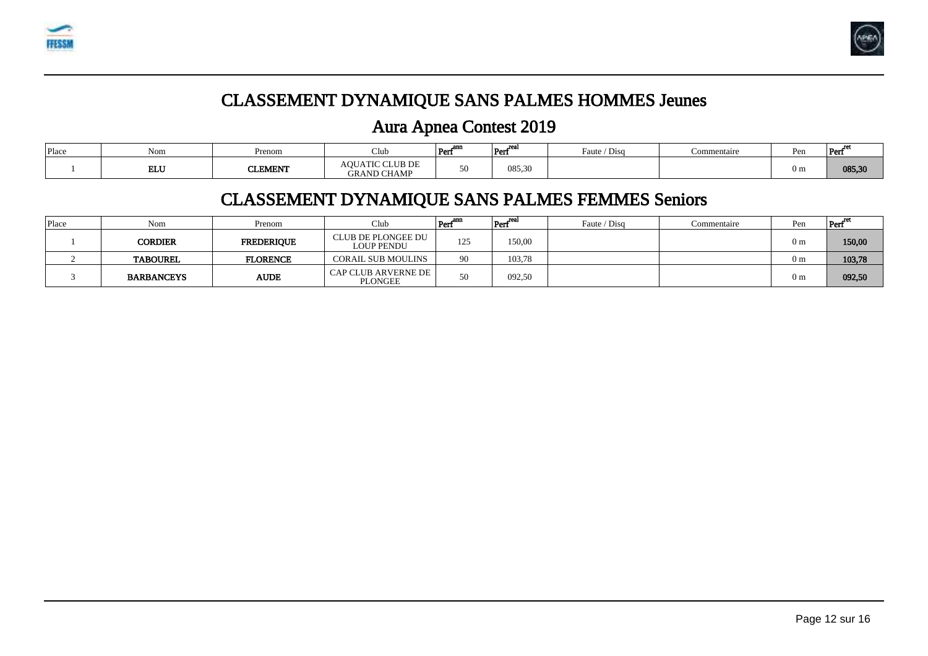



# CLASSEMENT DYNAMIQUE SANS PALMES HOMMES Jeunes

### Aura Apnea Contest 2019

| Place | Nom        | Prenom         | Jub.                                         | om:<br>--<br> Per | $-1$<br>Per             | Faute / Disg | Commentaire | Pen            | Perf   |
|-------|------------|----------------|----------------------------------------------|-------------------|-------------------------|--------------|-------------|----------------|--------|
|       | <b>ELU</b> | <b>CLEMENT</b> | <b>AOUATIC CLUB DE</b><br><b>GRAND CHAMP</b> | 50                | 185 30<br><b>"いしょしい</b> |              |             | 0 <sub>m</sub> | 085,30 |

### CLASSEMENT DYNAMIQUE SANS PALMES FEMMES Seniors

| Place | Nom               | Prenom            | Club                                    | Perf | $ Perf^{\text{real}}$ | Faute / Disg | Commentaire | Pen            | Peri   |
|-------|-------------------|-------------------|-----------------------------------------|------|-----------------------|--------------|-------------|----------------|--------|
|       | CORDIER           | <b>FREDERIOUE</b> | CLUB DE PLONGEE DU<br><b>LOUP PENDU</b> | 125  | 150,00                |              |             | 0 <sub>m</sub> | 150,00 |
|       | <b>TABOUREL</b>   | <b>FLORENCE</b>   | <b>CORAIL SUB MOULINS</b>               | 90   | 103,78                |              |             | 0 <sub>m</sub> | 103,78 |
|       | <b>BARBANCEYS</b> | <b>AUDE</b>       | <b>CAP CLUB ARVERNE DE</b><br>PLONGEE   | 50   | 092,50                |              |             | 0 <sub>m</sub> | 092,50 |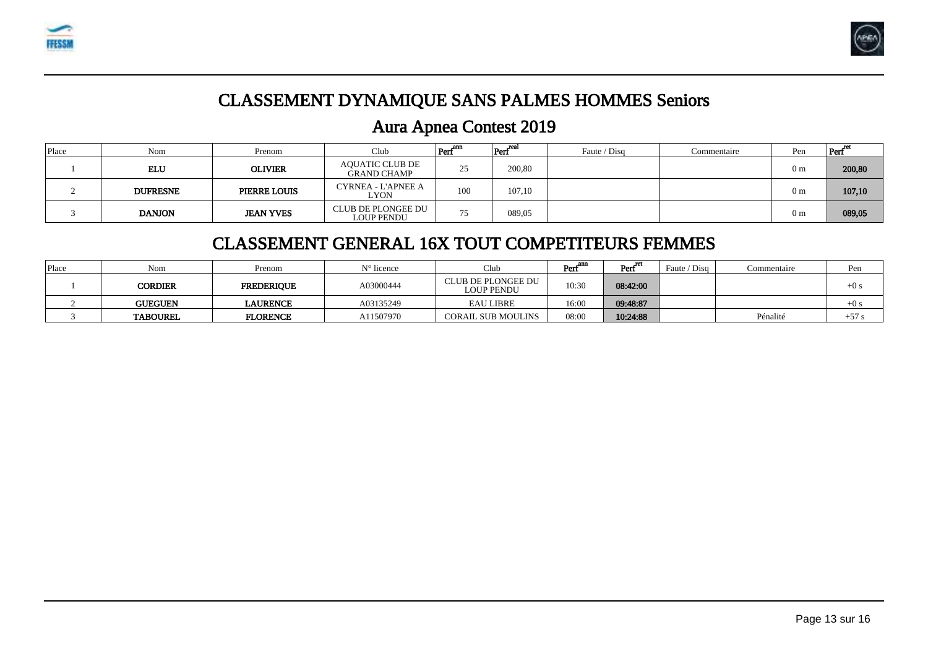



### CLASSEMENT DYNAMIQUE SANS PALMES HOMMES Seniors

### Aura Apnea Contest 2019

| Place | Nom             | Prenom              | Club                                         | Perf <sup>ann</sup> | Perf   | Faute / Disg | Commentaire | Pen            | Pert   |
|-------|-----------------|---------------------|----------------------------------------------|---------------------|--------|--------------|-------------|----------------|--------|
|       | <b>ELU</b>      | <b>OLIVIER</b>      | <b>AOUATIC CLUB DE</b><br><b>GRAND CHAMP</b> | 25<br>رے            | 200,80 |              |             | 0 <sub>m</sub> | 200,80 |
|       | <b>DUFRESNE</b> | <b>PIERRE LOUIS</b> | CYRNEA - L'APNEE A<br>LYON                   | 100                 | 107,10 |              |             | 0 <sub>m</sub> | 107,10 |
|       | <b>DANJON</b>   | <b>JEAN YVES</b>    | CLUB DE PLONGEE DU<br>LOUP PENDU             | 75                  | 089,05 |              |             | 0 <sub>m</sub> | 089,05 |

#### CLASSEMENT GENERAL 16X TOUT COMPETITEURS FEMMES

| Place | Nom             | Prenom            | $N^{\circ}$ licence | Club                             | . and<br>Perf | Perf <sup>ret</sup> | Faute / Disa | Commentaire | Pen    |
|-------|-----------------|-------------------|---------------------|----------------------------------|---------------|---------------------|--------------|-------------|--------|
|       | CORDIER         | <b>FREDERIOUE</b> | A03000444           | CLUB DE PLONGEE DU<br>LOUP PENDU | 10:30         | 08:42:00            |              |             | $+0$ s |
|       | <b>GUEGUEN</b>  | <b>LAURENCE</b>   | A03135249           | <b>EAU LIBRE</b>                 | 16:00         | 09:48:87            |              |             | $+0s$  |
|       | <b>TABOUREL</b> | <b>FLORENCE</b>   | A11507970           | <b>CORAIL SUB MOULINS</b>        | 08:00         | 10:24:88            |              | Pénalité    | $+57.$ |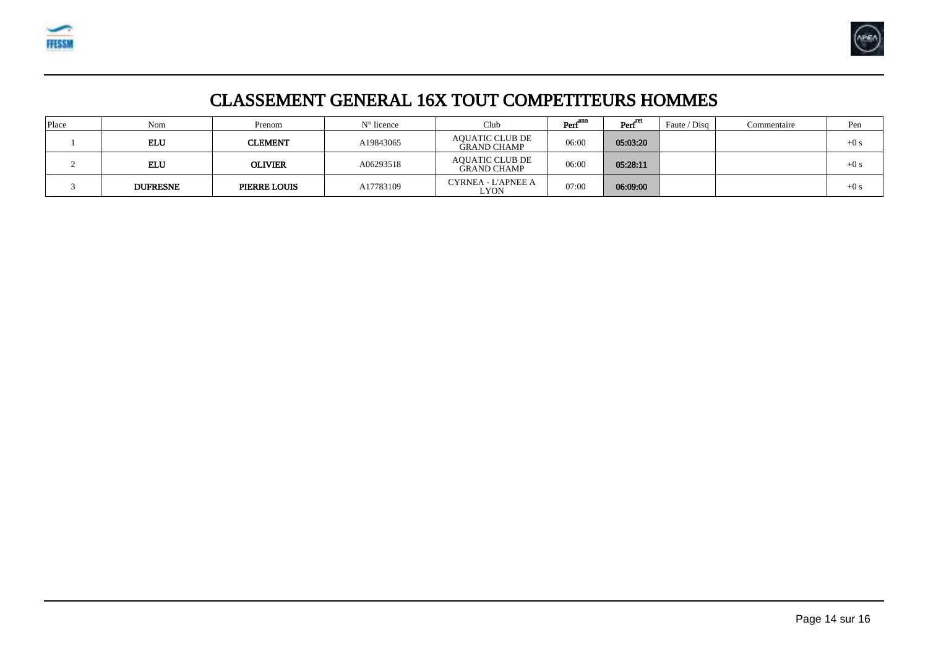



### CLASSEMENT GENERAL 16X TOUT COMPETITEURS HOMMES

| Place | Nom             | Prenom              | $N^{\circ}$ licence | Club                                         | $\mathrm{Perf}^{\mathrm{ann}}$ | Perf <sup>ret</sup> | Faute / Disq | Commentaire | Pen   |
|-------|-----------------|---------------------|---------------------|----------------------------------------------|--------------------------------|---------------------|--------------|-------------|-------|
|       | ELU             | <b>CLEMENT</b>      | A19843065           | <b>AQUATIC CLUB DE</b><br>GRAND CHAMP        | 06:00                          | 05:03:20            |              |             | $+0s$ |
|       | ELU             | <b>OLIVIER</b>      | A06293518           | <b>AQUATIC CLUB DE</b><br><b>GRAND CHAMP</b> | 06:00                          | 05:28:11            |              |             | $+0s$ |
|       | <b>DUFRESNE</b> | <b>PIERRE LOUIS</b> | A17783109           | CYRNEA - L'APNEE A<br>LYON                   | 07:00                          | 06:09:00            |              |             | $+0s$ |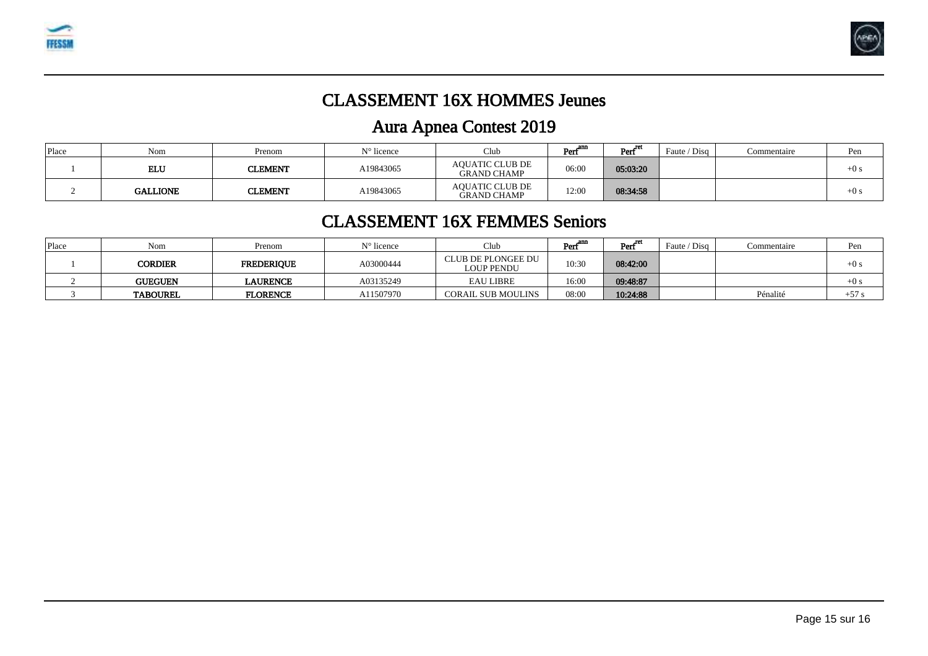



### CLASSEMENT 16X HOMMES Jeunes

# Aura Apnea Contest 2019

| Place | Nom             | Prenom         | $N^{\circ}$ licence | Club                                         | <b>ADD</b><br>Peri | Perf <sup>ret</sup> | $'$ Disa<br>Faute / | Commentaire | Pen    |
|-------|-----------------|----------------|---------------------|----------------------------------------------|--------------------|---------------------|---------------------|-------------|--------|
|       | ELU             | <b>CLEMENT</b> | A19843065           | AOUATIC CLUB DE<br><b>GRAND CHAMP</b>        | 06:00              | 05:03:20            |                     |             | $+0s$  |
|       | <b>GALLIONE</b> | CLEMENT        | A19843065           | <b>AQUATIC CLUB DE</b><br><b>GRAND CHAMP</b> | 12:00              | 08:34:58            |                     |             | $+0$ s |

#### CLASSEMENT 16X FEMMES Seniors

| Place | Nom             | Prenom            | $N^{\circ}$ licence | Club                                    | Peri  | Perf'''  | Faute / Disg | Commentaire | Pen    |
|-------|-----------------|-------------------|---------------------|-----------------------------------------|-------|----------|--------------|-------------|--------|
|       | <b>CORDIER</b>  | <b>FREDERIQUE</b> | A03000444           | CLUB DE PLONGEE DU<br><b>LOUP PENDU</b> | 10:30 | 08:42:00 |              |             | $+0$ s |
|       | <b>GUEGUEN</b>  | <b>LAURENCE</b>   | A03135249           | <b>EAU LIBRE</b>                        | 16:00 | 09:48:87 |              |             | $+0s$  |
|       | <b>TABOUREL</b> | <b>FLORENCE</b>   | A11507970           | <b>CORAIL SUB MOULINS</b>               | 08:00 | 10:24:88 |              | Pénalité    | $+57.$ |